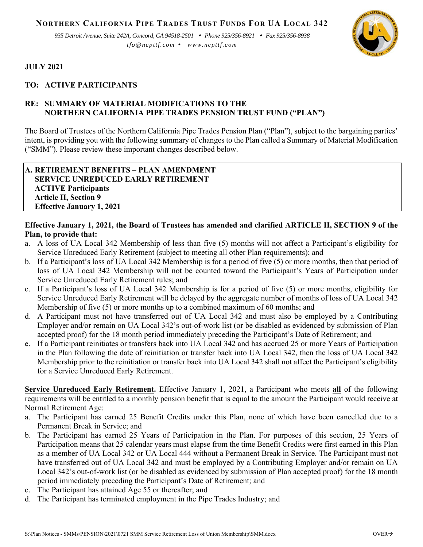**NORTHERN CALIFORNIA PIPE TRADES TRUST FUNDS FOR UA LOCAL 342**

*935 Detroit Avenue, Suite 242A, Concord, CA 94518-2501 Phone 925/356-8921 Fax 925/356-8938 tfo@ncpttf.com www.ncpttf.com*



#### **JULY 2021**

### **TO: ACTIVE PARTICIPANTS**

### **RE: SUMMARY OF MATERIAL MODIFICATIONS TO THE NORTHERN CALIFORNIA PIPE TRADES PENSION TRUST FUND ("PLAN")**

The Board of Trustees of the Northern California Pipe Trades Pension Plan ("Plan"), subject to the bargaining parties' intent, is providing you with the following summary of changes to the Plan called a Summary of Material Modification ("SMM"). Please review these important changes described below.

#### **A. RETIREMENT BENEFITS – PLAN AMENDMENT SERVICE UNREDUCED EARLY RETIREMENT ACTIVE Participants Article II, Section 9 Effective January 1, 2021**

# **Effective January 1, 2021, the Board of Trustees has amended and clarified ARTICLE II, SECTION 9 of the Plan, to provide that:**

- a. A loss of UA Local 342 Membership of less than five (5) months will not affect a Participant's eligibility for Service Unreduced Early Retirement (subject to meeting all other Plan requirements); and
- b. If a Participant's loss of UA Local 342 Membership is for a period of five (5) or more months, then that period of loss of UA Local 342 Membership will not be counted toward the Participant's Years of Participation under Service Unreduced Early Retirement rules; and
- c. If a Participant's loss of UA Local 342 Membership is for a period of five (5) or more months, eligibility for Service Unreduced Early Retirement will be delayed by the aggregate number of months of loss of UA Local 342 Membership of five (5) or more months up to a combined maximum of 60 months; and
- d. A Participant must not have transferred out of UA Local 342 and must also be employed by a Contributing Employer and/or remain on UA Local 342's out-of-work list (or be disabled as evidenced by submission of Plan accepted proof) for the 18 month period immediately preceding the Participant's Date of Retirement; and
- e. If a Participant reinitiates or transfers back into UA Local 342 and has accrued 25 or more Years of Participation in the Plan following the date of reinitiation or transfer back into UA Local 342, then the loss of UA Local 342 Membership prior to the reinitiation or transfer back into UA Local 342 shall not affect the Participant's eligibility for a Service Unreduced Early Retirement.

**Service Unreduced Early Retirement.** Effective January 1, 2021, a Participant who meets **all** of the following requirements will be entitled to a monthly pension benefit that is equal to the amount the Participant would receive at Normal Retirement Age:

- a. The Participant has earned 25 Benefit Credits under this Plan, none of which have been cancelled due to a Permanent Break in Service; and
- b. The Participant has earned 25 Years of Participation in the Plan. For purposes of this section, 25 Years of Participation means that 25 calendar years must elapse from the time Benefit Credits were first earned in this Plan as a member of UA Local 342 or UA Local 444 without a Permanent Break in Service. The Participant must not have transferred out of UA Local 342 and must be employed by a Contributing Employer and/or remain on UA Local 342's out-of-work list (or be disabled as evidenced by submission of Plan accepted proof) for the 18 month period immediately preceding the Participant's Date of Retirement; and
- c. The Participant has attained Age 55 or thereafter; and
- d. The Participant has terminated employment in the Pipe Trades Industry; and